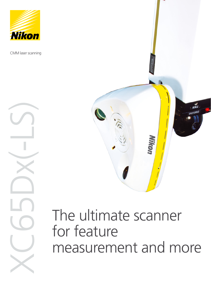

CMM laser scanning

XC65D

 $X-L5$ 



# The ultimate scanner for feature measurement and more